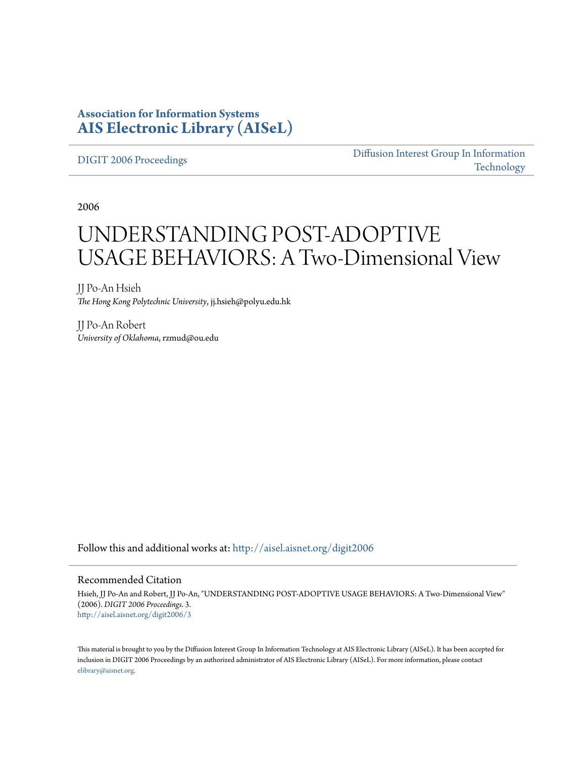#### **Association for Information Systems [AIS Electronic Library \(AISeL\)](http://aisel.aisnet.org?utm_source=aisel.aisnet.org%2Fdigit2006%2F3&utm_medium=PDF&utm_campaign=PDFCoverPages)**

[DIGIT 2006 Proceedings](http://aisel.aisnet.org/digit2006?utm_source=aisel.aisnet.org%2Fdigit2006%2F3&utm_medium=PDF&utm_campaign=PDFCoverPages)

[Diffusion Interest Group In Information](http://aisel.aisnet.org/digit?utm_source=aisel.aisnet.org%2Fdigit2006%2F3&utm_medium=PDF&utm_campaign=PDFCoverPages) [Technology](http://aisel.aisnet.org/digit?utm_source=aisel.aisnet.org%2Fdigit2006%2F3&utm_medium=PDF&utm_campaign=PDFCoverPages)

2006

# UNDERSTANDING POST-ADOPTIVE USAGE BEHAVIORS: A Two-Dimensional View

JJ Po-An Hsieh *The Hong Kong Polytechnic University*, jj.hsieh@polyu.edu.hk

JJ Po-An Robert *University of Oklahoma*, rzmud@ou.edu

Follow this and additional works at: [http://aisel.aisnet.org/digit2006](http://aisel.aisnet.org/digit2006?utm_source=aisel.aisnet.org%2Fdigit2006%2F3&utm_medium=PDF&utm_campaign=PDFCoverPages)

#### Recommended Citation

Hsieh, JJ Po-An and Robert, JJ Po-An, "UNDERSTANDING POST-ADOPTIVE USAGE BEHAVIORS: A Two-Dimensional View" (2006). *DIGIT 2006 Proceedings*. 3. [http://aisel.aisnet.org/digit2006/3](http://aisel.aisnet.org/digit2006/3?utm_source=aisel.aisnet.org%2Fdigit2006%2F3&utm_medium=PDF&utm_campaign=PDFCoverPages)

This material is brought to you by the Diffusion Interest Group In Information Technology at AIS Electronic Library (AISeL). It has been accepted for inclusion in DIGIT 2006 Proceedings by an authorized administrator of AIS Electronic Library (AISeL). For more information, please contact [elibrary@aisnet.org.](mailto:elibrary@aisnet.org%3E)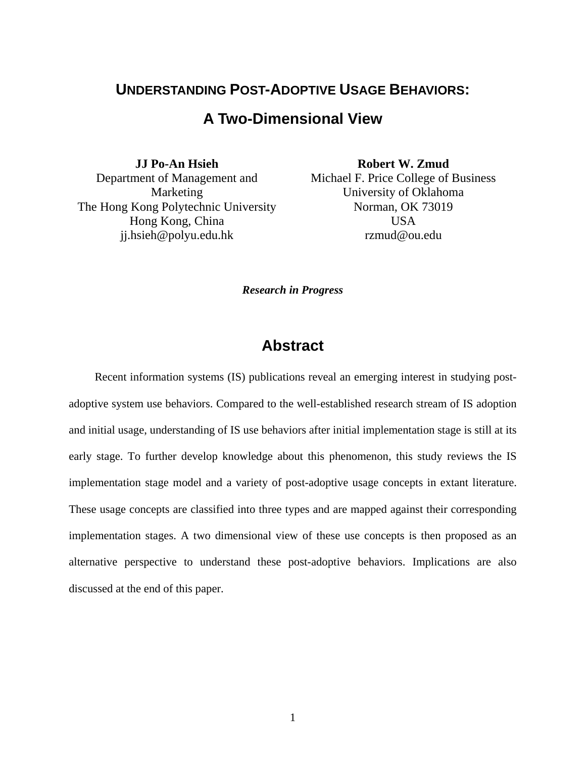#### **UNDERSTANDING POST-ADOPTIVE USAGE BEHAVIORS:**

#### **A Two-Dimensional View**

**JJ Po-An Hsieh**  Department of Management and Marketing The Hong Kong Polytechnic University Hong Kong, China jj.hsieh@polyu.edu.hk

**Robert W. Zmud**  Michael F. Price College of Business University of Oklahoma Norman, OK 73019 USA rzmud@ou.edu

*Research in Progress* 

#### **Abstract**

Recent information systems (IS) publications reveal an emerging interest in studying postadoptive system use behaviors. Compared to the well-established research stream of IS adoption and initial usage, understanding of IS use behaviors after initial implementation stage is still at its early stage. To further develop knowledge about this phenomenon, this study reviews the IS implementation stage model and a variety of post-adoptive usage concepts in extant literature. These usage concepts are classified into three types and are mapped against their corresponding implementation stages. A two dimensional view of these use concepts is then proposed as an alternative perspective to understand these post-adoptive behaviors. Implications are also discussed at the end of this paper.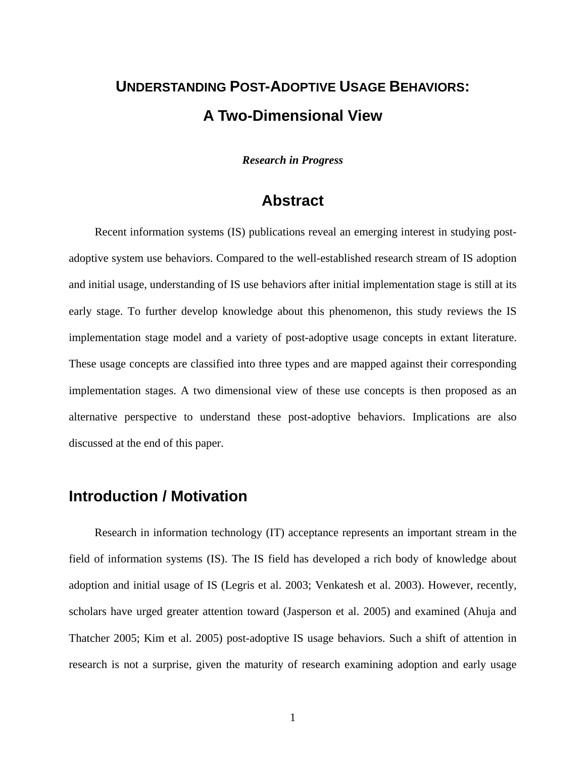## **UNDERSTANDING POST-ADOPTIVE USAGE BEHAVIORS: A Two-Dimensional View**

*Research in Progress* 

#### **Abstract**

Recent information systems (IS) publications reveal an emerging interest in studying postadoptive system use behaviors. Compared to the well-established research stream of IS adoption and initial usage, understanding of IS use behaviors after initial implementation stage is still at its early stage. To further develop knowledge about this phenomenon, this study reviews the IS implementation stage model and a variety of post-adoptive usage concepts in extant literature. These usage concepts are classified into three types and are mapped against their corresponding implementation stages. A two dimensional view of these use concepts is then proposed as an alternative perspective to understand these post-adoptive behaviors. Implications are also discussed at the end of this paper.

#### **Introduction / Motivation**

Research in information technology (IT) acceptance represents an important stream in the field of information systems (IS). The IS field has developed a rich body of knowledge about adoption and initial usage of IS (Legris et al. 2003; Venkatesh et al. 2003). However, recently, scholars have urged greater attention toward (Jasperson et al. 2005) and examined (Ahuja and Thatcher 2005; Kim et al. 2005) post-adoptive IS usage behaviors. Such a shift of attention in research is not a surprise, given the maturity of research examining adoption and early usage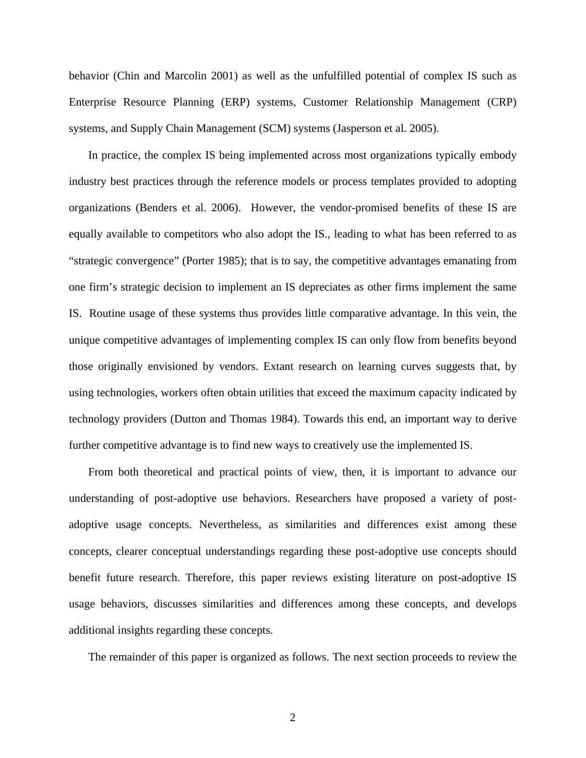behavior (Chin and Marcolin 2001) as well as the unfulfilled potential of complex IS such as Enterprise Resource Planning (ERP) systems, Customer Relationship Management (CRP) systems, and Supply Chain Management (SCM) systems (Jasperson et al. 2005).

In practice, the complex IS being implemented across most organizations typically embody industry best practices through the reference models or process templates provided to adopting organizations (Benders et al. 2006). However, the vendor-promised benefits of these IS are equally available to competitors who also adopt the IS., leading to what has been referred to as "strategic convergence" (Porter 1985); that is to say, the competitive advantages emanating from one firm's strategic decision to implement an IS depreciates as other firms implement the same IS. Routine usage of these systems thus provides little comparative advantage. In this vein, the unique competitive advantages of implementing complex IS can only flow from benefits beyond those originally envisioned by vendors. Extant research on learning curves suggests that, by using technologies, workers often obtain utilities that exceed the maximum capacity indicated by technology providers (Dutton and Thomas 1984). Towards this end, an important way to derive further competitive advantage is to find new ways to creatively use the implemented IS.

From both theoretical and practical points of view, then, it is important to advance our understanding of post-adoptive use behaviors. Researchers have proposed a variety of postadoptive usage concepts. Nevertheless, as similarities and differences exist among these concepts, clearer conceptual understandings regarding these post-adoptive use concepts should benefit future research. Therefore, this paper reviews existing literature on post-adoptive IS usage behaviors, discusses similarities and differences among these concepts, and develops additional insights regarding these concepts.

The remainder of this paper is organized as follows. The next section proceeds to review the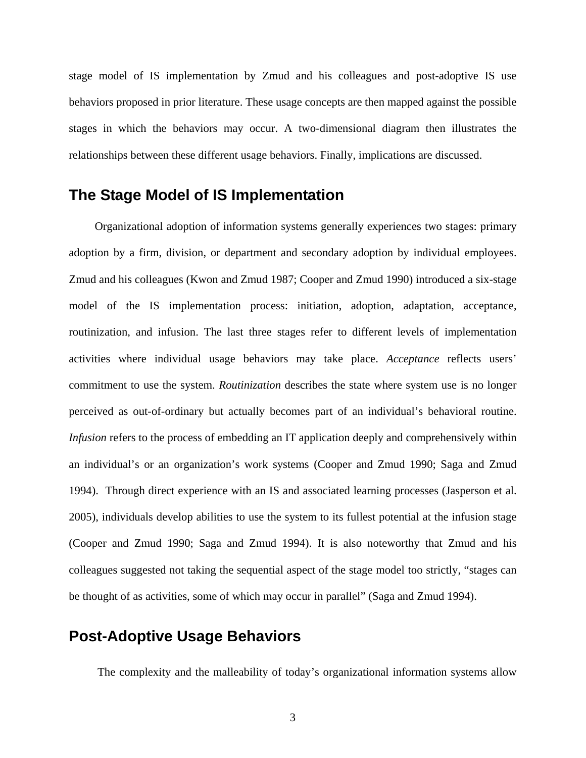stage model of IS implementation by Zmud and his colleagues and post-adoptive IS use behaviors proposed in prior literature. These usage concepts are then mapped against the possible stages in which the behaviors may occur. A two-dimensional diagram then illustrates the relationships between these different usage behaviors. Finally, implications are discussed.

### **The Stage Model of IS Implementation**

Organizational adoption of information systems generally experiences two stages: primary adoption by a firm, division, or department and secondary adoption by individual employees. Zmud and his colleagues (Kwon and Zmud 1987; Cooper and Zmud 1990) introduced a six-stage model of the IS implementation process: initiation, adoption, adaptation, acceptance, routinization, and infusion. The last three stages refer to different levels of implementation activities where individual usage behaviors may take place. *Acceptance* reflects users' commitment to use the system. *Routinization* describes the state where system use is no longer perceived as out-of-ordinary but actually becomes part of an individual's behavioral routine. *Infusion* refers to the process of embedding an IT application deeply and comprehensively within an individual's or an organization's work systems (Cooper and Zmud 1990; Saga and Zmud 1994). Through direct experience with an IS and associated learning processes (Jasperson et al. 2005), individuals develop abilities to use the system to its fullest potential at the infusion stage (Cooper and Zmud 1990; Saga and Zmud 1994). It is also noteworthy that Zmud and his colleagues suggested not taking the sequential aspect of the stage model too strictly, "stages can be thought of as activities, some of which may occur in parallel" (Saga and Zmud 1994).

### **Post-Adoptive Usage Behaviors**

The complexity and the malleability of today's organizational information systems allow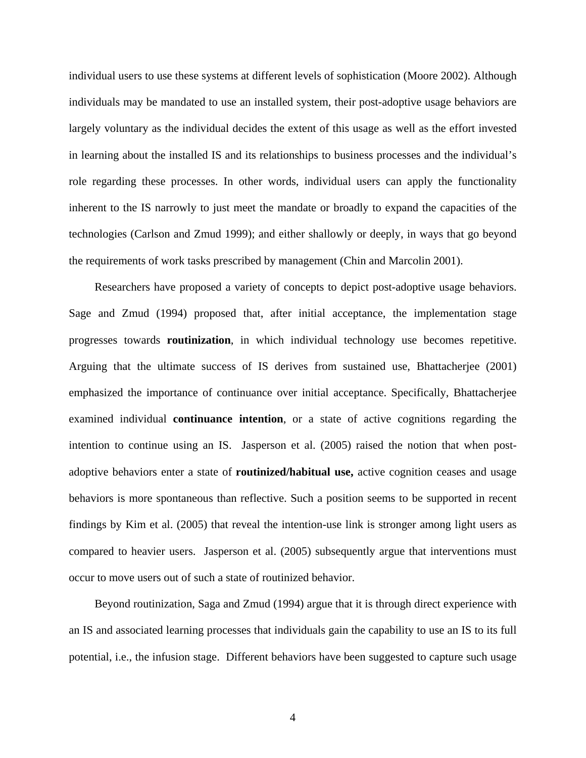individual users to use these systems at different levels of sophistication (Moore 2002). Although individuals may be mandated to use an installed system, their post-adoptive usage behaviors are largely voluntary as the individual decides the extent of this usage as well as the effort invested in learning about the installed IS and its relationships to business processes and the individual's role regarding these processes. In other words, individual users can apply the functionality inherent to the IS narrowly to just meet the mandate or broadly to expand the capacities of the technologies (Carlson and Zmud 1999); and either shallowly or deeply, in ways that go beyond the requirements of work tasks prescribed by management (Chin and Marcolin 2001).

Researchers have proposed a variety of concepts to depict post-adoptive usage behaviors. Sage and Zmud (1994) proposed that, after initial acceptance, the implementation stage progresses towards **routinization**, in which individual technology use becomes repetitive. Arguing that the ultimate success of IS derives from sustained use, Bhattacherjee (2001) emphasized the importance of continuance over initial acceptance. Specifically, Bhattacherjee examined individual **continuance intention**, or a state of active cognitions regarding the intention to continue using an IS. Jasperson et al. (2005) raised the notion that when postadoptive behaviors enter a state of **routinized/habitual use,** active cognition ceases and usage behaviors is more spontaneous than reflective. Such a position seems to be supported in recent findings by Kim et al. (2005) that reveal the intention-use link is stronger among light users as compared to heavier users. Jasperson et al. (2005) subsequently argue that interventions must occur to move users out of such a state of routinized behavior.

Beyond routinization, Saga and Zmud (1994) argue that it is through direct experience with an IS and associated learning processes that individuals gain the capability to use an IS to its full potential, i.e., the infusion stage. Different behaviors have been suggested to capture such usage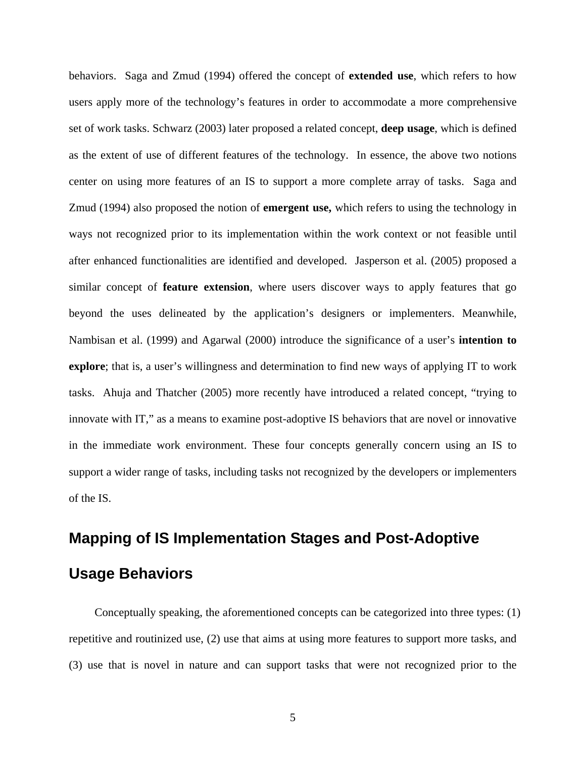behaviors. Saga and Zmud (1994) offered the concept of **extended use**, which refers to how users apply more of the technology's features in order to accommodate a more comprehensive set of work tasks. Schwarz (2003) later proposed a related concept, **deep usage**, which is defined as the extent of use of different features of the technology. In essence, the above two notions center on using more features of an IS to support a more complete array of tasks. Saga and Zmud (1994) also proposed the notion of **emergent use,** which refers to using the technology in ways not recognized prior to its implementation within the work context or not feasible until after enhanced functionalities are identified and developed. Jasperson et al. (2005) proposed a similar concept of **feature extension**, where users discover ways to apply features that go beyond the uses delineated by the application's designers or implementers. Meanwhile, Nambisan et al. (1999) and Agarwal (2000) introduce the significance of a user's **intention to explore**; that is, a user's willingness and determination to find new ways of applying IT to work tasks. Ahuja and Thatcher (2005) more recently have introduced a related concept, "trying to innovate with IT," as a means to examine post-adoptive IS behaviors that are novel or innovative in the immediate work environment. These four concepts generally concern using an IS to support a wider range of tasks, including tasks not recognized by the developers or implementers of the IS.

# **Mapping of IS Implementation Stages and Post-Adoptive**

## **Usage Behaviors**

Conceptually speaking, the aforementioned concepts can be categorized into three types: (1) repetitive and routinized use, (2) use that aims at using more features to support more tasks, and (3) use that is novel in nature and can support tasks that were not recognized prior to the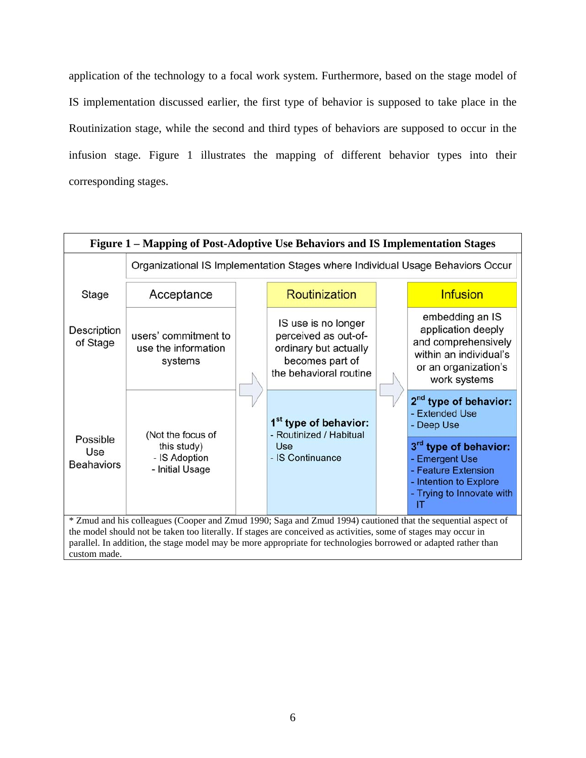application of the technology to a focal work system. Furthermore, based on the stage model of IS implementation discussed earlier, the first type of behavior is supposed to take place in the Routinization stage, while the second and third types of behaviors are supposed to occur in the infusion stage. Figure 1 illustrates the mapping of different behavior types into their corresponding stages.

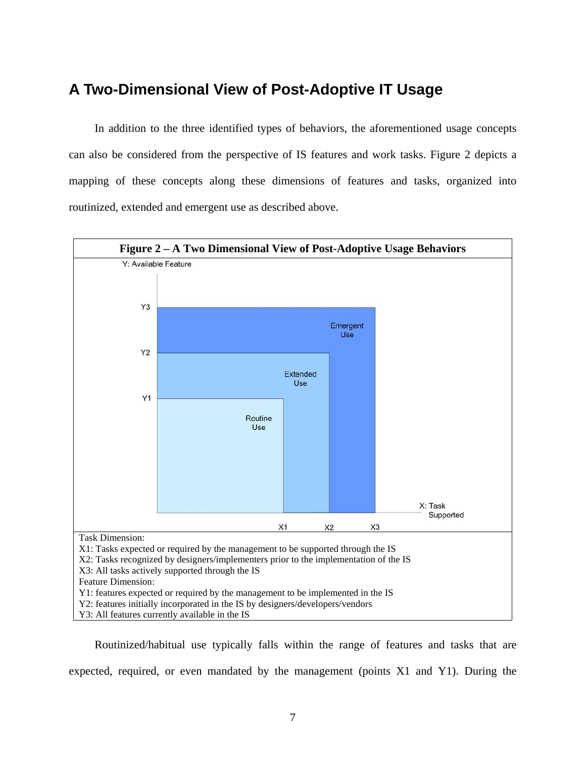#### **A Two-Dimensional View of Post-Adoptive IT Usage**

In addition to the three identified types of behaviors, the aforementioned usage concepts can also be considered from the perspective of IS features and work tasks. Figure 2 depicts a mapping of these concepts along these dimensions of features and tasks, organized into routinized, extended and emergent use as described above.



Routinized/habitual use typically falls within the range of features and tasks that are expected, required, or even mandated by the management (points X1 and Y1). During the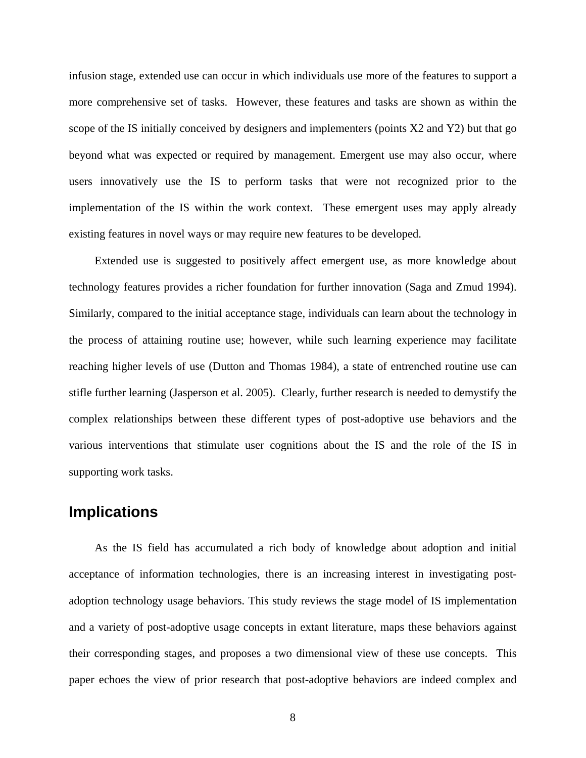infusion stage, extended use can occur in which individuals use more of the features to support a more comprehensive set of tasks. However, these features and tasks are shown as within the scope of the IS initially conceived by designers and implementers (points X2 and Y2) but that go beyond what was expected or required by management. Emergent use may also occur, where users innovatively use the IS to perform tasks that were not recognized prior to the implementation of the IS within the work context. These emergent uses may apply already existing features in novel ways or may require new features to be developed.

Extended use is suggested to positively affect emergent use, as more knowledge about technology features provides a richer foundation for further innovation (Saga and Zmud 1994). Similarly, compared to the initial acceptance stage, individuals can learn about the technology in the process of attaining routine use; however, while such learning experience may facilitate reaching higher levels of use (Dutton and Thomas 1984), a state of entrenched routine use can stifle further learning (Jasperson et al. 2005). Clearly, further research is needed to demystify the complex relationships between these different types of post-adoptive use behaviors and the various interventions that stimulate user cognitions about the IS and the role of the IS in supporting work tasks.

#### **Implications**

As the IS field has accumulated a rich body of knowledge about adoption and initial acceptance of information technologies, there is an increasing interest in investigating postadoption technology usage behaviors. This study reviews the stage model of IS implementation and a variety of post-adoptive usage concepts in extant literature, maps these behaviors against their corresponding stages, and proposes a two dimensional view of these use concepts. This paper echoes the view of prior research that post-adoptive behaviors are indeed complex and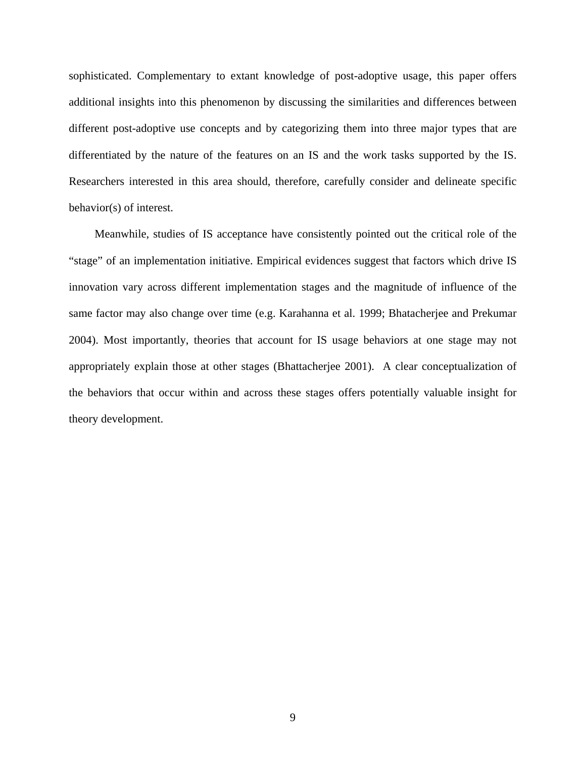sophisticated. Complementary to extant knowledge of post-adoptive usage, this paper offers additional insights into this phenomenon by discussing the similarities and differences between different post-adoptive use concepts and by categorizing them into three major types that are differentiated by the nature of the features on an IS and the work tasks supported by the IS. Researchers interested in this area should, therefore, carefully consider and delineate specific behavior(s) of interest.

Meanwhile, studies of IS acceptance have consistently pointed out the critical role of the "stage" of an implementation initiative. Empirical evidences suggest that factors which drive IS innovation vary across different implementation stages and the magnitude of influence of the same factor may also change over time (e.g. Karahanna et al. 1999; Bhatacherjee and Prekumar 2004). Most importantly, theories that account for IS usage behaviors at one stage may not appropriately explain those at other stages (Bhattacherjee 2001). A clear conceptualization of the behaviors that occur within and across these stages offers potentially valuable insight for theory development.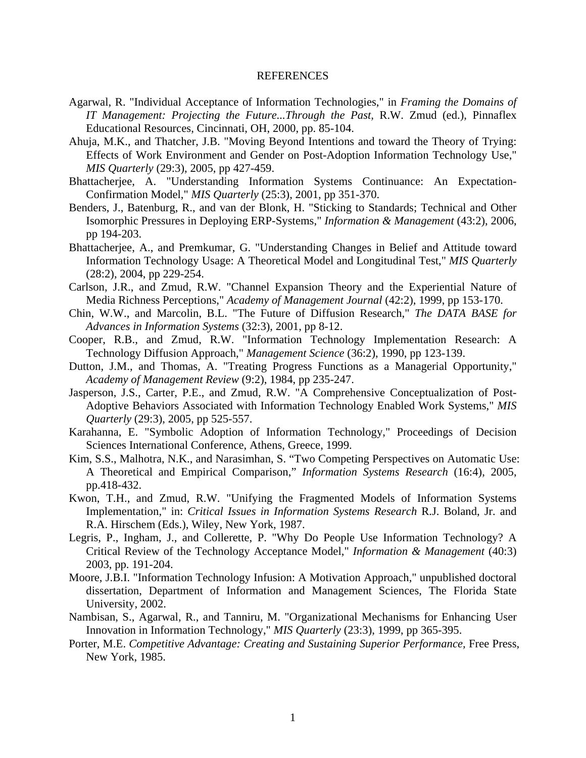#### REFERENCES

- Agarwal, R. "Individual Acceptance of Information Technologies," in *Framing the Domains of IT Management: Projecting the Future...Through the Past,* R.W. Zmud (ed.), Pinnaflex Educational Resources, Cincinnati, OH, 2000, pp. 85-104.
- Ahuja, M.K., and Thatcher, J.B. "Moving Beyond Intentions and toward the Theory of Trying: Effects of Work Environment and Gender on Post-Adoption Information Technology Use," *MIS Quarterly* (29:3), 2005, pp 427-459.
- Bhattacherjee, A. "Understanding Information Systems Continuance: An Expectation-Confirmation Model," *MIS Quarterly* (25:3), 2001, pp 351-370.
- Benders, J., Batenburg, R., and van der Blonk, H. "Sticking to Standards; Technical and Other Isomorphic Pressures in Deploying ERP-Systems," *Information & Management* (43:2), 2006, pp 194-203.
- Bhattacherjee, A., and Premkumar, G. "Understanding Changes in Belief and Attitude toward Information Technology Usage: A Theoretical Model and Longitudinal Test," *MIS Quarterly* (28:2), 2004, pp 229-254.
- Carlson, J.R., and Zmud, R.W. "Channel Expansion Theory and the Experiential Nature of Media Richness Perceptions," *Academy of Management Journal* (42:2), 1999, pp 153-170.
- Chin, W.W., and Marcolin, B.L. "The Future of Diffusion Research," *The DATA BASE for Advances in Information Systems* (32:3), 2001, pp 8-12.
- Cooper, R.B., and Zmud, R.W. "Information Technology Implementation Research: A Technology Diffusion Approach," *Management Science* (36:2), 1990, pp 123-139.
- Dutton, J.M., and Thomas, A. "Treating Progress Functions as a Managerial Opportunity," *Academy of Management Review* (9:2), 1984, pp 235-247.
- Jasperson, J.S., Carter, P.E., and Zmud, R.W. "A Comprehensive Conceptualization of Post-Adoptive Behaviors Associated with Information Technology Enabled Work Systems," *MIS Quarterly* (29:3), 2005, pp 525-557.
- Karahanna, E. "Symbolic Adoption of Information Technology," Proceedings of Decision Sciences International Conference, Athens, Greece, 1999.
- Kim, S.S., Malhotra, N.K., and Narasimhan, S. "Two Competing Perspectives on Automatic Use: A Theoretical and Empirical Comparison," *Information Systems Research* (16:4), 2005, pp.418-432.
- Kwon, T.H., and Zmud, R.W. "Unifying the Fragmented Models of Information Systems Implementation," in: *Critical Issues in Information Systems Research* R.J. Boland, Jr. and R.A. Hirschem (Eds.), Wiley, New York, 1987.
- Legris, P., Ingham, J., and Collerette, P. "Why Do People Use Information Technology? A Critical Review of the Technology Acceptance Model," *Information & Management* (40:3) 2003, pp. 191-204.
- Moore, J.B.I. "Information Technology Infusion: A Motivation Approach," unpublished doctoral dissertation, Department of Information and Management Sciences, The Florida State University, 2002.
- Nambisan, S., Agarwal, R., and Tanniru, M. "Organizational Mechanisms for Enhancing User Innovation in Information Technology," *MIS Quarterly* (23:3), 1999, pp 365-395.
- Porter, M.E. *Competitive Advantage: Creating and Sustaining Superior Performance,* Free Press, New York, 1985.